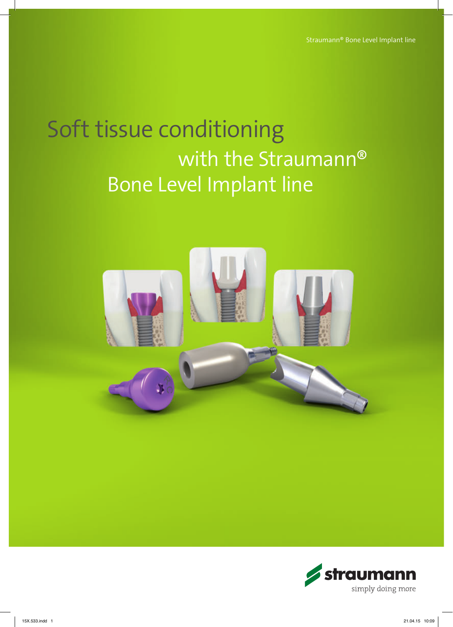# Soft tissue conditioning with the Straumann® Bone Level Implant line



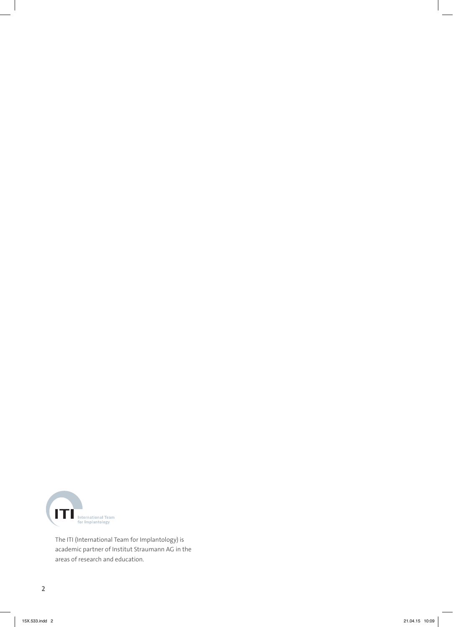

The ITI (International Team for Implantology) is academic partner of Institut Straumann AG in the areas of research and education.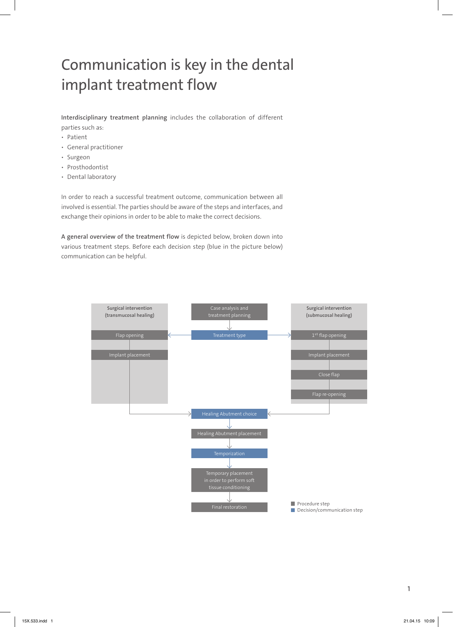# Communication is key in the dental implant treatment flow

Interdisciplinary treatment planning includes the collaboration of different parties such as:

- ѹ Patient
- ѹ General practitioner
- Surgeon
- Prosthodontist
- Dental laboratory

In order to reach a successful treatment outcome, communication between all involved is essential. The parties should be aware of the steps and interfaces, and exchange their opinions in order to be able to make the correct decisions.

A general overview of the treatment flow is depicted below, broken down into various treatment steps. Before each decision step (blue in the picture below) communication can be helpful.

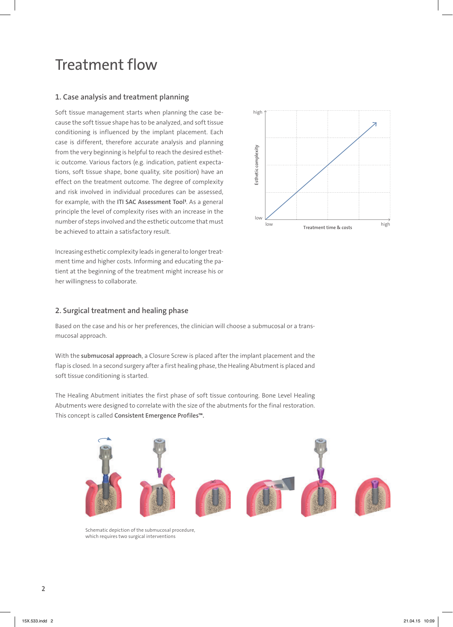### Treatment flow

### 1. Case analysis and treatment planning

Soft tissue management starts when planning the case because the soft tissue shape has to be analyzed, and soft tissue conditioning is influenced by the implant placement. Each case is different, therefore accurate analysis and planning from the very beginning is helpful to reach the desired esthetic outcome. Various factors (e.g. indication, patient expectations, soft tissue shape, bone quality, site position) have an effect on the treatment outcome. The degree of complexity and risk involved in individual procedures can be assessed, for example, with the ITI SAC Assessment Tool<sup>1</sup>. As a general principle the level of complexity rises with an increase in the number of steps involved and the esthetic outcome that must be achieved to attain a satisfactory result.

Increasing esthetic complexity leads in general to longer treatment time and higher costs. Informing and educating the patient at the beginning of the treatment might increase his or her willingness to collaborate.



#### 2. Surgical treatment and healing phase

Based on the case and his or her preferences, the clinician will choose a submucosal or a transmucosal approach.

With the submucosal approach, a Closure Screw is placed after the implant placement and the flap is closed. In a second surgery after a first healing phase, the Healing Abutment is placed and soft tissue conditioning is started.

The Healing Abutment initiates the first phase of soft tissue contouring. Bone Level Healing Abutments were designed to correlate with the size of the abutments for the final restoration. This concept is called Consistent Emergence Profiles™.



Schematic depiction of the submucosal procedure, which requires two surgical interventions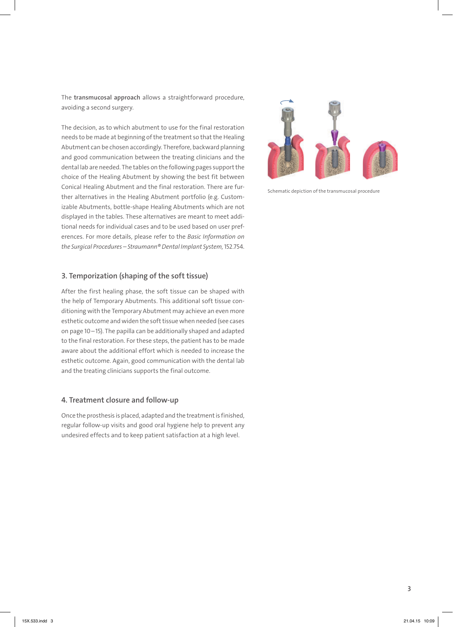The transmucosal approach allows a straightforward procedure, avoiding a second surgery.

The decision, as to which abutment to use for the final restoration needs to be made at beginning of the treatment so that the Healing Abutment can be chosen accordingly. Therefore, backward planning and good communication between the treating clinicians and the dental lab are needed. The tables on the following pages support the choice of the Healing Abutment by showing the best fit between Conical Healing Abutment and the final restoration. There are further alternatives in the Healing Abutment portfolio (e.g. Customizable Abutments, bottle-shape Healing Abutments which are not displayed in the tables. These alternatives are meant to meet additional needs for individual cases and to be used based on user preferences. For more details, please refer to the *Basic Information on the Surgical Procedures – Straumann® Dental Implant System,* 152.754.

### 3. Temporization (shaping of the soft tissue)

After the first healing phase, the soft tissue can be shaped with the help of Temporary Abutments. This additional soft tissue conditioning with the Temporary Abutment may achieve an even more esthetic outcome and widen the soft tissue when needed (see cases on page 10–15). The papilla can be additionally shaped and adapted to the final restoration. For these steps, the patient has to be made aware about the additional effort which is needed to increase the esthetic outcome. Again, good communication with the dental lab and the treating clinicians supports the final outcome.

### 4. Treatment closure and follow-up

Once the prosthesis is placed, adapted and the treatment is finished, regular follow-up visits and good oral hygiene help to prevent any undesired effects and to keep patient satisfaction at a high level.



Schematic depiction of the transmucosal procedure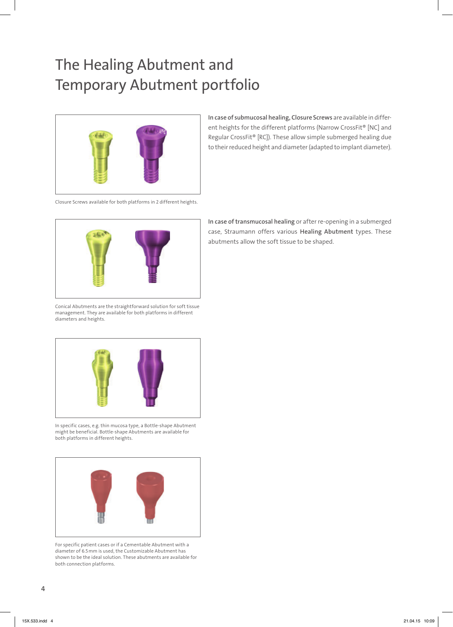### The Healing Abutment and Temporary Abutment portfolio



In case of submucosal healing, Closure Screws are available in different heights for the different platforms (Narrow CrossFit® [NC] and Regular CrossFit® [RC]). These allow simple submerged healing due to their reduced height and diameter (adapted to implant diameter).

Closure Screws available for both platforms in 2 different heights.



Conical Abutments are the straightforward solution for soft tissue management. They are available for both platforms in different diameters and heights.



In specific cases, e.g. thin mucosa type, a Bottle-shape Abutment might be beneficial. Bottle-shape Abutments are available for both platforms in different heights.



For specific patient cases or if a Cementable Abutment with a diameter of 6.5mm is used, the Customizable Abutment has shown to be the ideal solution. These abutments are available for both connection platforms.

In case of transmucosal healing or after re-opening in a submerged case, Straumann offers various Healing Abutment types. These abutments allow the soft tissue to be shaped.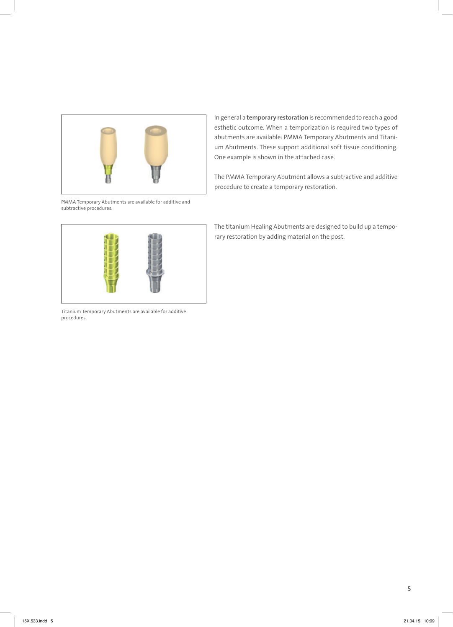

PMMA Temporary Abutments are available for additive and subtractive procedures.

In general a temporary restoration is recommended to reach a good esthetic outcome. When a temporization is required two types of abutments are available: PMMA Temporary Abutments and Titanium Abutments. These support additional soft tissue conditioning. One example is shown in the attached case.

The PMMA Temporary Abutment allows a subtractive and additive procedure to create a temporary restoration.



Titanium Temporary Abutments are available for additive procedures.

The titanium Healing Abutments are designed to build up a temporary restoration by adding material on the post.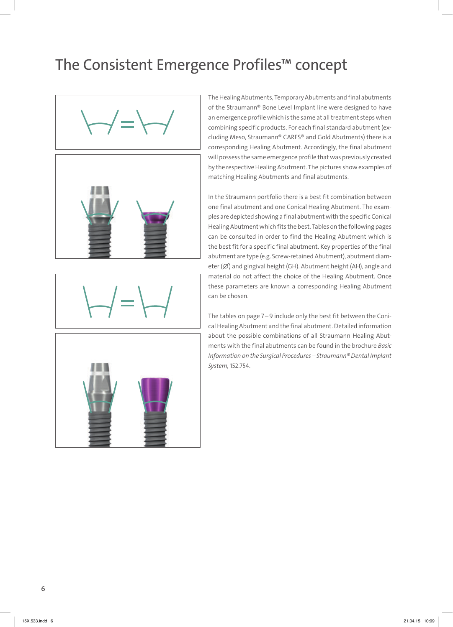### The Consistent Emergence Profiles™ concept



$$
\bigg|\biggarrow\bigg|\biggarrow\bigg|=\bigg\bigg|
$$



The Healing Abutments, Temporary Abutments and final abutments of the Straumann® Bone Level Implant line were designed to have an emergence profile which is the same at all treatment steps when combining specific products. For each final standard abutment (excluding Meso, Straumann® CARES® and Gold Abutments) there is a corresponding Healing Abutment. Accordingly, the final abutment will possess the same emergence profile that was previously created by the respective Healing Abutment. The pictures show examples of matching Healing Abutments and final abutments.

In the Straumann portfolio there is a best fit combination between one final abutment and one Conical Healing Abutment. The examples are depicted showing a final abutment with the specific Conical Healing Abutment which fits the best. Tables on the following pages can be consulted in order to find the Healing Abutment which is the best fit for a specific final abutment. Key properties of the final abutment are type (e.g. Screw-retained Abutment), abutment diameter (∅) and gingival height (GH). Abutment height (AH), angle and material do not affect the choice of the Healing Abutment. Once these parameters are known a corresponding Healing Abutment can be chosen.

The tables on page 7–9 include only the best fit between the Conical Healing Abutment and the final abutment. Detailed information about the possible combinations of all Straumann Healing Abutments with the final abutments can be found in the brochure *Basic Information on the Surgical Procedures – Straumann® Dental Implant System,* 152.754.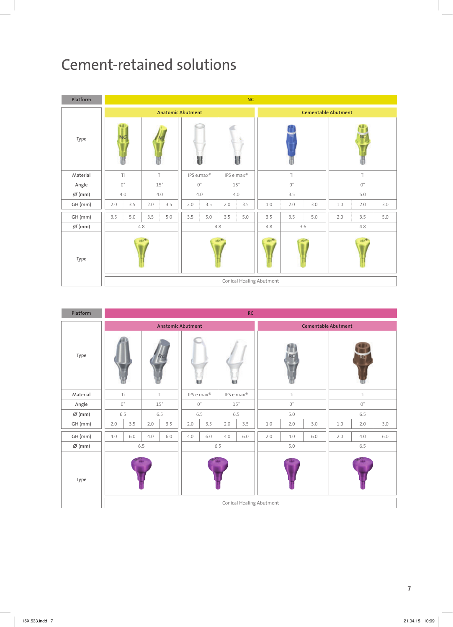# Cement-retained solutions

| Platform         |                             |            |     |             |                          |     |                  | NC                         |                          |     |             |     |     |     |  |
|------------------|-----------------------------|------------|-----|-------------|--------------------------|-----|------------------|----------------------------|--------------------------|-----|-------------|-----|-----|-----|--|
|                  |                             |            |     |             | <b>Anatomic Abutment</b> |     |                  | <b>Cementable Abutment</b> |                          |     |             |     |     |     |  |
| Type             |                             |            |     |             | ₩                        |     | U                |                            |                          |     |             |     |     |     |  |
| Material         | Ti<br>Τi                    |            |     | IPS e.max®  |                          |     | IPS e.max®<br>Ti |                            |                          |     | Τi          |     |     |     |  |
| Angle            | $0^{\circ}$<br>$15^{\circ}$ |            |     | $0^{\circ}$ |                          |     | $15^{\circ}$     | $0^{\circ}$                |                          |     | $0^{\circ}$ |     |     |     |  |
| $\emptyset$ (mm) |                             | 4.0<br>4.0 |     |             | 4.0                      |     | 4.0              |                            |                          | 3.5 |             |     | 5.0 |     |  |
| GH (mm)          | 2.0                         | 3.5        | 2.0 | 3.5         | 2.0                      | 3.5 | 2.0              | 3.5                        | 1.0                      | 2.0 | 3.0         | 1.0 | 2.0 | 3.0 |  |
| GH (mm)          | 3.5                         | 5.0        | 3.5 | 5.0         | 3.5                      | 5.0 | 3.5              | 5.0                        | 3.5                      | 3.5 | 5.0         | 2.0 | 3.5 | 5.0 |  |
| $\emptyset$ (mm) |                             |            | 4.8 |             | 4.8                      |     |                  | 3.6<br>4.8                 |                          |     | 4.8         |     |     |     |  |
| Type             |                             |            |     |             |                          |     |                  |                            |                          |     |             |     |     |     |  |
|                  |                             |            |     |             |                          |     |                  |                            | Conical Healing Abutment |     |             |     |     |     |  |

| Platform         | RC  |             |              |         |                          |     |                            |     |                          |     |       |             |     |       |  |
|------------------|-----|-------------|--------------|---------|--------------------------|-----|----------------------------|-----|--------------------------|-----|-------|-------------|-----|-------|--|
|                  |     |             |              |         | <b>Anatomic Abutment</b> |     | <b>Cementable Abutment</b> |     |                          |     |       |             |     |       |  |
| Type             |     |             |              |         |                          |     | RC                         |     |                          |     |       |             |     |       |  |
| Material         |     | Ti          | Ti           |         | IPS e.max®               |     | IPS e.max®                 |     |                          | Ti  |       |             | Τi  |       |  |
| Angle            |     | $0^{\circ}$ | $15^{\circ}$ |         | $0^{\circ}$              |     | $15^{\circ}$               |     | $0^{\circ}$              |     |       | $0^{\circ}$ |     |       |  |
| $\emptyset$ (mm) |     | 6.5         | 6.5          |         | 6.5                      |     | 6.5                        |     | 5.0                      |     |       |             | 6.5 |       |  |
| $GH$ (mm)        | 2.0 | 3.5         | 2.0          | 3.5     | 2.0                      | 3.5 | 2.0                        | 3.5 | $1.0\,$                  | 2.0 | 3.0   | $1.0\,$     | 2.0 | 3.0   |  |
| GH (mm)          | 4.0 | $6.0\,$     | 4.0          | $6.0\,$ | 4.0                      | 6.0 | 4.0                        | 6.0 | 2.0                      | 4.0 | $6.0$ | 2.0         | 4.0 | $6.0$ |  |
| $\emptyset$ (mm) |     |             | 6.5          |         |                          | 6.5 |                            |     |                          | 5.0 |       | 6.5         |     |       |  |
| Type             |     |             |              |         |                          |     |                            |     |                          |     |       |             |     |       |  |
|                  |     |             |              |         |                          |     |                            |     | Conical Healing Abutment |     |       |             |     |       |  |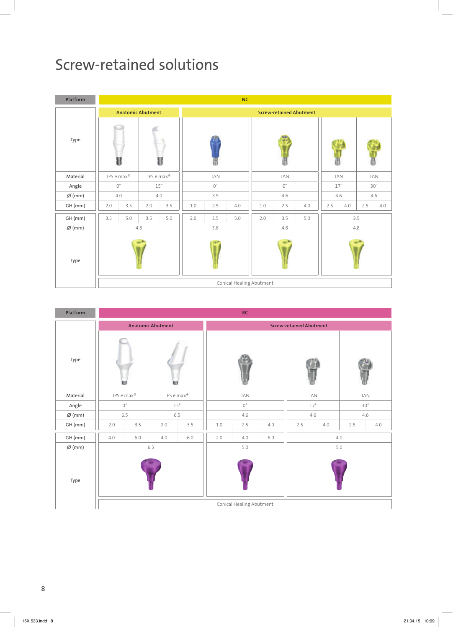# Screw-retained solutions

| Platform           |        |                             |                          |     |                                |     | NC  |                          |     |     |              |     |              |     |  |
|--------------------|--------|-----------------------------|--------------------------|-----|--------------------------------|-----|-----|--------------------------|-----|-----|--------------|-----|--------------|-----|--|
|                    |        |                             | <b>Anatomic Abutment</b> |     | <b>Screw-retained Abutment</b> |     |     |                          |     |     |              |     |              |     |  |
| Type               | U<br>₩ |                             |                          |     |                                |     |     |                          |     |     |              |     |              |     |  |
| Material           |        | IPS e.max®<br>IPS e.max®    |                          |     | <b>TAN</b>                     |     |     | <b>TAN</b>               |     |     | <b>TAN</b>   |     | <b>TAN</b>   |     |  |
| Angle              |        | $0^{\circ}$<br>$15^{\circ}$ |                          |     | $0^{\circ}$                    |     |     | $0^{\circ}$              |     |     | $17^{\circ}$ |     | $30^{\circ}$ |     |  |
| $\emptyset$ (mm)   |        | 4.0                         |                          | 4.0 |                                | 3.5 |     |                          | 4.6 |     | 4.6          |     |              | 4.6 |  |
| GH (mm)            | 2.0    | 3.5                         | 2.0                      | 3.5 | 1.0                            | 2.5 | 4.0 | 1.0                      | 2.5 | 4.0 | 2.5          | 4.0 | 2.5          | 4.0 |  |
| GH (mm)            | 3.5    | 5.0                         | 3.5                      | 5.0 | 2.0                            | 3.5 | 5.0 | 2.0                      | 3.5 | 5.0 |              |     | 3.5          |     |  |
| $\varnothing$ (mm) |        |                             | 4.8                      |     |                                | 3.6 |     |                          | 4.8 |     |              | 4.8 |              |     |  |
| Type               |        |                             |                          |     |                                |     |     |                          |     |     |              |     |              |     |  |
|                    |        |                             |                          |     |                                |     |     | Conical Healing Abutment |     |     |              |     |              |     |  |

| Platform           |             |     |                          |            |                                | <b>RC</b>                |     |     |              |              |     |  |  |
|--------------------|-------------|-----|--------------------------|------------|--------------------------------|--------------------------|-----|-----|--------------|--------------|-----|--|--|
|                    |             |     | <b>Anatomic Abutment</b> |            | <b>Screw-retained Abutment</b> |                          |     |     |              |              |     |  |  |
| Type               |             |     |                          |            |                                |                          |     |     |              |              |     |  |  |
| Material           | IPS e.max®  |     |                          | IPS e.max® |                                | <b>TAN</b>               |     |     | <b>TAN</b>   | TAN          |     |  |  |
| Angle              | $0^{\circ}$ |     | $15^{\circ}$             |            |                                | $0^{\circ}$              |     |     | $17^{\circ}$ | $30^{\circ}$ |     |  |  |
| $\emptyset$ (mm)   | 6.5         |     | 6.5                      |            |                                | 4.6                      |     |     | 4.6          | 4.6          |     |  |  |
| GH (mm)            | 2.0         | 3.5 | 2.0                      | 3.5        | 1.0                            | 2.5                      | 4.0 | 2.5 | 4.0          | 2.5          | 4.0 |  |  |
| GH (mm)            | 4.0         | 6.0 | 4.0                      | 6.0        | 2.0                            | 4.0                      | 6.0 |     |              | 4.0          |     |  |  |
| $\varnothing$ (mm) |             |     | 6.5                      |            |                                | 5.0                      |     | 5.0 |              |              |     |  |  |
| Type               |             |     |                          |            |                                |                          |     |     |              |              |     |  |  |
|                    |             |     |                          |            |                                | Conical Healing Abutment |     |     |              |              |     |  |  |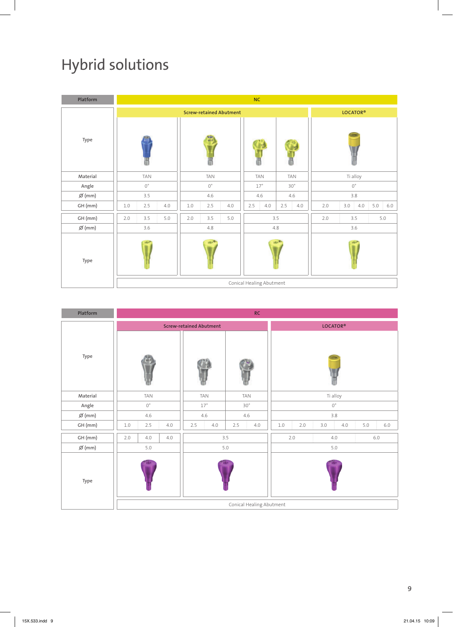# Hybrid solutions

| Platform         |             |     |     |             |                 |     | <b>NC</b>                |              |             |            |                |  |
|------------------|-------------|-----|-----|-------------|-----------------|-----|--------------------------|--------------|-------------|------------|----------------|--|
|                  |             |     |     |             | <b>LOCATOR®</b> |     |                          |              |             |            |                |  |
| Type             |             |     |     |             |                 |     |                          |              |             |            |                |  |
| Material         |             | TAN |     | TAN         |                 |     | TAN                      | <b>TAN</b>   | Ti alloy    |            |                |  |
| Angle            | $0^{\circ}$ |     |     | $0^{\circ}$ |                 |     | $17^{\circ}$             | $30^{\circ}$ | $0^{\circ}$ |            |                |  |
| $\emptyset$ (mm) |             | 3.5 |     |             | 4.6             |     |                          | 4.6          |             | 3.8        |                |  |
| GH (mm)          | 1.0         | 2.5 | 4.0 | 1.0         | 2.5             | 4.0 | 2.5<br>4.0               | 2.5<br>4.0   | 2.0         | 3.0<br>4.0 | 5.0<br>$6.0\,$ |  |
| GH (mm)          | 2.0         | 3.5 | 5.0 | 2.0         | 3.5             | 5.0 |                          | 3.5          | 2.0         | 3.5        | 5.0            |  |
| $\emptyset$ (mm) |             | 3.6 |     |             | 4.8             |     |                          | 4.8          | 3.6         |            |                |  |
| Type             |             |     |     |             |                 |     |                          |              |             |            |                |  |
|                  |             |     |     |             |                 |     | Conical Healing Abutment |              |             |            |                |  |

| Platform         |             |       |     |                                |              |              | RC                       |                 |     |     |     |         |     |  |
|------------------|-------------|-------|-----|--------------------------------|--------------|--------------|--------------------------|-----------------|-----|-----|-----|---------|-----|--|
|                  |             |       |     | <b>Screw-retained Abutment</b> |              |              |                          | <b>LOCATOR®</b> |     |     |     |         |     |  |
| Type             |             |       |     |                                |              |              |                          |                 |     |     |     |         |     |  |
| Material         | <b>TAN</b>  |       |     |                                | TAN          | TAN          |                          | Ti alloy        |     |     |     |         |     |  |
| Angle            | $0^{\circ}$ |       |     |                                | $17^{\circ}$ | $30^{\circ}$ |                          | $0^{\circ}$     |     |     |     |         |     |  |
| $\emptyset$ (mm) | 4.6         |       |     | 4.6                            | 4.6          |              | 3.8                      |                 |     |     |     |         |     |  |
| GH (mm)          | 1.0         | 2.5   | 4.0 | 2.5                            | 4.0          | 2.5          | 4.0                      | 1.0             | 2.0 | 3.0 | 4.0 | 5.0     | 6.0 |  |
| GH (mm)          | 2.0         | 4.0   | 4.0 |                                |              | 3.5          |                          |                 | 2.0 | 4.0 |     | $6.0\,$ |     |  |
| $\emptyset$ (mm) |             | $5.0$ |     | $5.0\,$                        |              |              |                          | 5.0             |     |     |     |         |     |  |
| Type             |             |       |     |                                |              |              |                          |                 |     |     |     |         |     |  |
|                  |             |       |     |                                |              |              | Conical Healing Abutment |                 |     |     |     |         |     |  |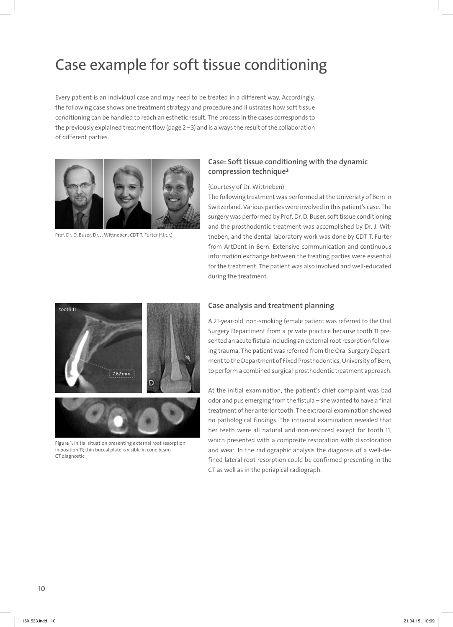### Case example for soft tissue conditioning

Every patient is an individual case and may need to be treated in a different way. Accordingly, the following case shows one treatment strategy and procedure and illustrates how soft tissue conditioning can be handled to reach an esthetic result. The process in the cases corresponds to the previously explained treatment flow (page 2–3) and is always the result of the collaboration of different parties.



Prof. Dr. D. Buser, Dr. J. Wittneben, CDT T. Furter (f.l.t.r.)

### Case: Soft tissue conditioning with the dynamic compression technique2

#### (Courtesy of Dr. Wittneben)

The following treatment was performed at the University of Bern in Switzerland. Various parties were involved in this patient's case. The surgery was performed by Prof. Dr. D. Buser, soft tissue conditioning and the prosthodontic treatment was accomplished by Dr. J. Wittneben, and the dental laboratory work was done by CDT T. Furter from ArtDent in Bern. Extensive communication and continuous information exchange between the treating parties were essential for the treatment. The patient was also involved and well-educated during the treatment.



Figure 1: Initial situation presenting external root resorption in position 11; thin buccal plate is visible in cone beam CT diagnostic

### Case analysis and treatment planning

A 21-year-old, non-smoking female patient was referred to the Oral Surgery Department from a private practice because tooth 11 presented an acute fistula including an external root resorption following trauma. The patient was referred from the Oral Surgery Department to the Department of Fixed Prosthodontics, University of Bern, to perform a combined surgical-prosthodontic treatment approach.

At the initial examination, the patient's chief complaint was bad odor and pus emerging from the fistula – she wanted to have a final treatment of her anterior tooth. The extraoral examination showed no pathological findings. The intraoral examination revealed that her teeth were all natural and non-restored except for tooth 11, which presented with a composite restoration with discoloration and wear. In the radiographic analysis the diagnosis of a well-defined lateral root resorption could be confirmed presenting in the CT as well as in the periapical radiograph.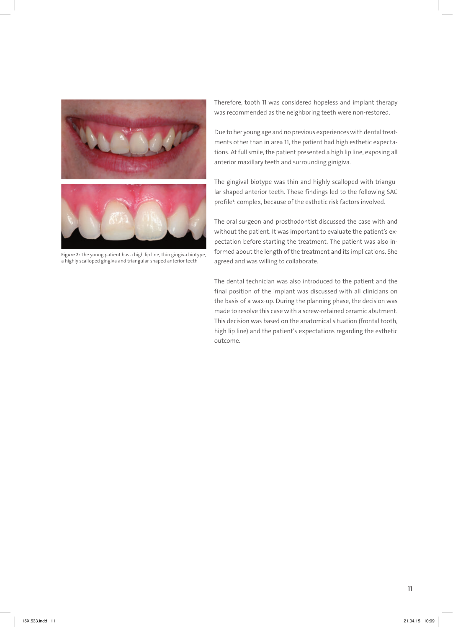

Figure 2: The young patient has a high lip line, thin gingiva biotype, a highly scalloped gingiva and triangular-shaped anterior teeth

Therefore, tooth 11 was considered hopeless and implant therapy was recommended as the neighboring teeth were non-restored.

Due to her young age and no previous experiences with dental treatments other than in area 11, the patient had high esthetic expectations. At full smile, the patient presented a high lip line, exposing all anterior maxillary teeth and surrounding ginigiva.

The gingival biotype was thin and highly scalloped with triangular-shaped anterior teeth. These findings led to the following SAC profile<sup>1</sup>: complex, because of the esthetic risk factors involved.

The oral surgeon and prosthodontist discussed the case with and without the patient. It was important to evaluate the patient's expectation before starting the treatment. The patient was also informed about the length of the treatment and its implications. She agreed and was willing to collaborate.

The dental technician was also introduced to the patient and the final position of the implant was discussed with all clinicians on the basis of a wax-up. During the planning phase, the decision was made to resolve this case with a screw-retained ceramic abutment. This decision was based on the anatomical situation (frontal tooth, high lip line) and the patient's expectations regarding the esthetic outcome.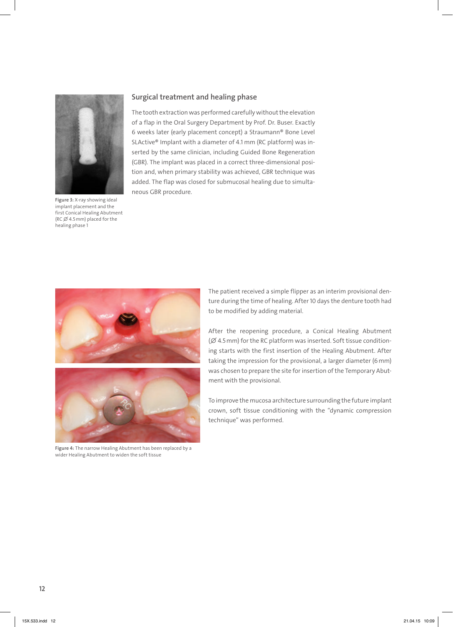

Figure 3: X-ray showing ideal implant placement and the first Conical Healing Abutment (RC ∅ 4.5mm) placed for the healing phase 1

### Surgical treatment and healing phase

The tooth extraction was performed carefully without the elevation of a flap in the Oral Surgery Department by Prof. Dr. Buser. Exactly 6 weeks later (early placement concept) a Straumann® Bone Level SLActive® Implant with a diameter of 4.1 mm (RC platform) was inserted by the same clinician, including Guided Bone Regeneration (GBR). The implant was placed in a correct three-dimensional position and, when primary stability was achieved, GBR technique was added. The flap was closed for submucosal healing due to simultaneous GBR procedure.



Figure 4: The narrow Healing Abutment has been replaced by a wider Healing Abutment to widen the soft tissue

The patient received a simple flipper as an interim provisional denture during the time of healing. After 10 days the denture tooth had to be modified by adding material.

After the reopening procedure, a Conical Healing Abutment (∅ 4.5mm) for the RC platform was inserted. Soft tissue conditioning starts with the first insertion of the Healing Abutment. After taking the impression for the provisional, a larger diameter (6mm) was chosen to prepare the site for insertion of the Temporary Abutment with the provisional.

To improve the mucosa architecture surrounding the future implant crown, soft tissue conditioning with the "dynamic compression technique" was performed.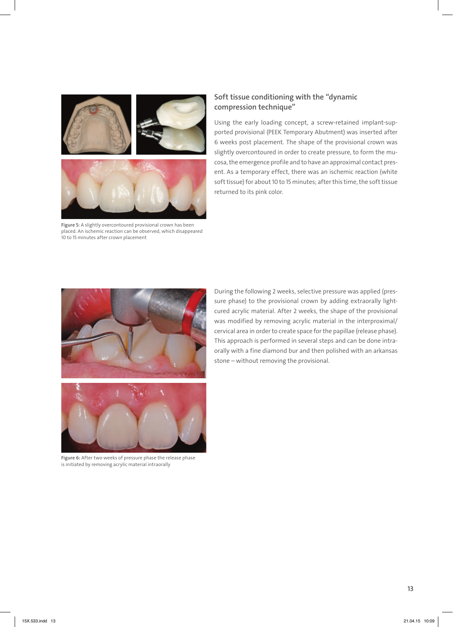

Figure 5: A slightly overcontoured provisional crown has been placed. An ischemic reaction can be observed, which disappeared 10 to 15 minutes after crown placement

### Soft tissue conditioning with the "dynamic compression technique"

Using the early loading concept, a screw-retained implant-supported provisional (PEEK Temporary Abutment) was inserted after 6 weeks post placement. The shape of the provisional crown was slightly overcontoured in order to create pressure, to form the mucosa, the emergence profile and to have an approximal contact present. As a temporary effect, there was an ischemic reaction (white soft tissue) for about 10 to 15 minutes; after this time, the soft tissue returned to its pink color.



During the following 2 weeks, selective pressure was applied (pressure phase) to the provisional crown by adding extraorally lightcured acrylic material. After 2 weeks, the shape of the provisional was modified by removing acrylic material in the interproximal/ cervical area in order to create space for the papillae (release phase). This approach is performed in several steps and can be done intraorally with a fine diamond bur and then polished with an arkansas stone – without removing the provisional.

Figure 6: After two weeks of pressure phase the release phase is initiated by removing acrylic material intraorally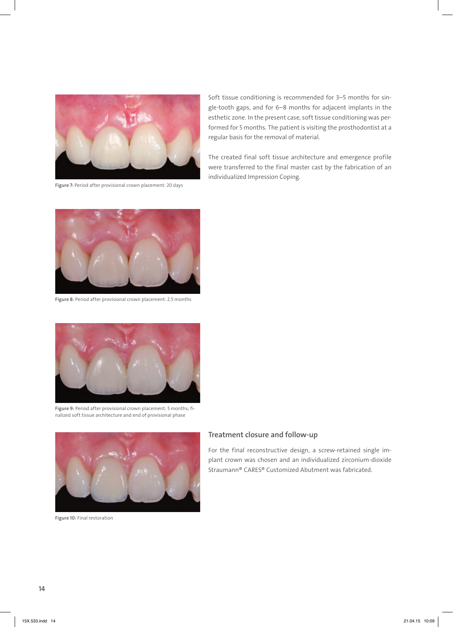

Figure 7: Period after provisional crown placement: 20 days

Soft tissue conditioning is recommended for 3–5 months for single-tooth gaps, and for 6–8 months for adjacent implants in the esthetic zone. In the present case, soft tissue conditioning was performed for 5 months. The patient is visiting the prosthodontist at a regular basis for the removal of material.

The created final soft tissue architecture and emergence profile were transferred to the final master cast by the fabrication of an individualized Impression Coping.



Figure 8: Period after provisional crown placement: 2.5 months



Figure 9: Period after provisional crown placement: 5 months; finalized soft tissue architecture and end of provisional phase



Figure 10: Final restoration

#### Treatment closure and follow-up

For the final reconstructive design, a screw-retained single implant crown was chosen and an individualized zirconium-dioxide Straumann® CARES® Customized Abutment was fabricated.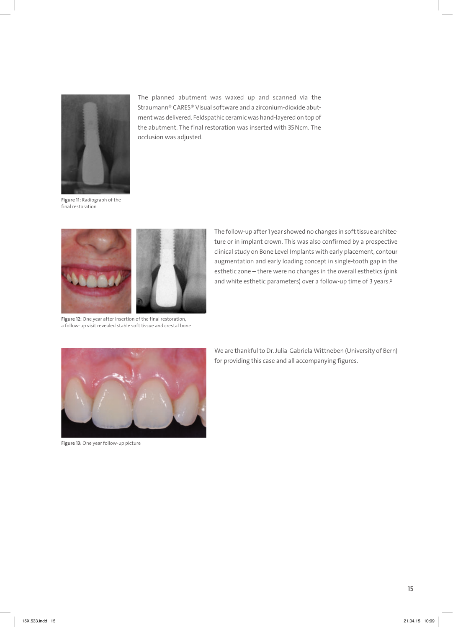

The planned abutment was waxed up and scanned via the Straumann® CARES® Visual software and a zirconium-dioxide abutment was delivered. Feldspathic ceramic was hand-layered on top of the abutment. The final restoration was inserted with 35Ncm. The occlusion was adjusted.

Figure 11: Radiograph of the final restoration



Figure 12: One year after insertion of the final restoration, a follow-up visit revealed stable soft tissue and crestal bone

The follow-up after 1 year showed no changes in soft tissue architecture or in implant crown. This was also confirmed by a prospective clinical study on Bone Level Implants with early placement, contour augmentation and early loading concept in single-tooth gap in the esthetic zone – there were no changes in the overall esthetics (pink and white esthetic parameters) over a follow-up time of 3 years.2



Figure 13: One year follow-up picture

We are thankful to Dr. Julia-Gabriela Wittneben (University of Bern) for providing this case and all accompanying figures.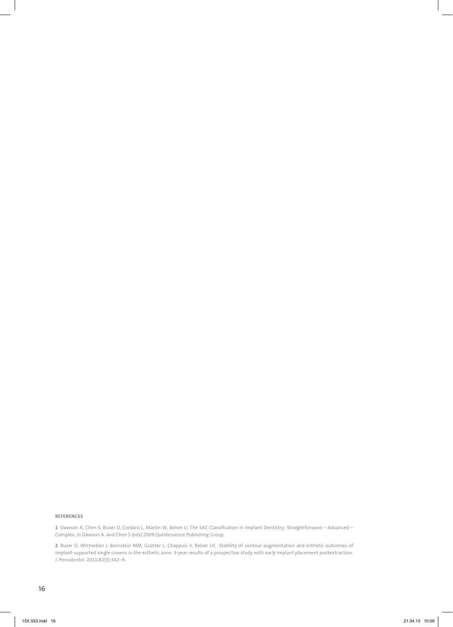#### REFERENCES

1 Dawson A, Chen S, Buser D, Cordaro L, Martin W, Belser U. The SAC Classification in Implant Dentistry: Straightforward – Advanced – Complex. In Dawson A. and Chen S (eds):2009:Quintessence Publishing Group.

2 Buser D, Wittneben J, Bornstein MM, Grütter L, Chappuis V, Belser UC. Stability of contour augmentation and esthetic outcomes of implant-supported single crowns in the esthetic zone: 3-year results of a prospective study with early implant placement postextraction. J. Periodontol. 2011;82(3):342–9.